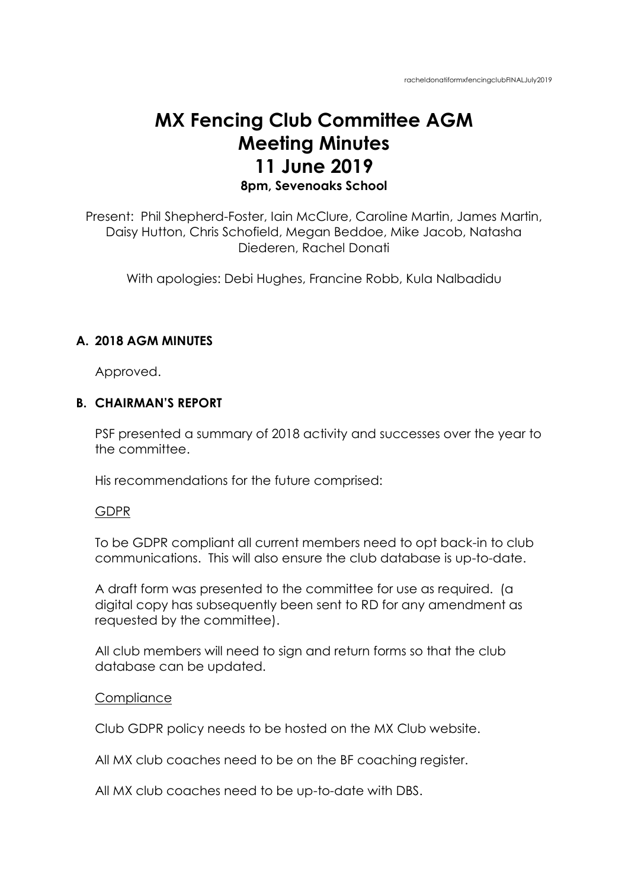# **MX Fencing Club Committee AGM Meeting Minutes 11 June 2019 8pm, Sevenoaks School**

Present: Phil Shepherd-Foster, Iain McClure, Caroline Martin, James Martin, Daisy Hutton, Chris Schofield, Megan Beddoe, Mike Jacob, Natasha Diederen, Rachel Donati

With apologies: Debi Hughes, Francine Robb, Kula Nalbadidu

# **A. 2018 AGM MINUTES**

Approved.

## **B. CHAIRMAN'S REPORT**

PSF presented a summary of 2018 activity and successes over the year to the committee.

His recommendations for the future comprised:

#### GDPR

To be GDPR compliant all current members need to opt back-in to club communications. This will also ensure the club database is up-to-date.

A draft form was presented to the committee for use as required. (a digital copy has subsequently been sent to RD for any amendment as requested by the committee).

All club members will need to sign and return forms so that the club database can be updated.

## **Compliance**

Club GDPR policy needs to be hosted on the MX Club website.

All MX club coaches need to be on the BF coaching register.

All MX club coaches need to be up-to-date with DBS.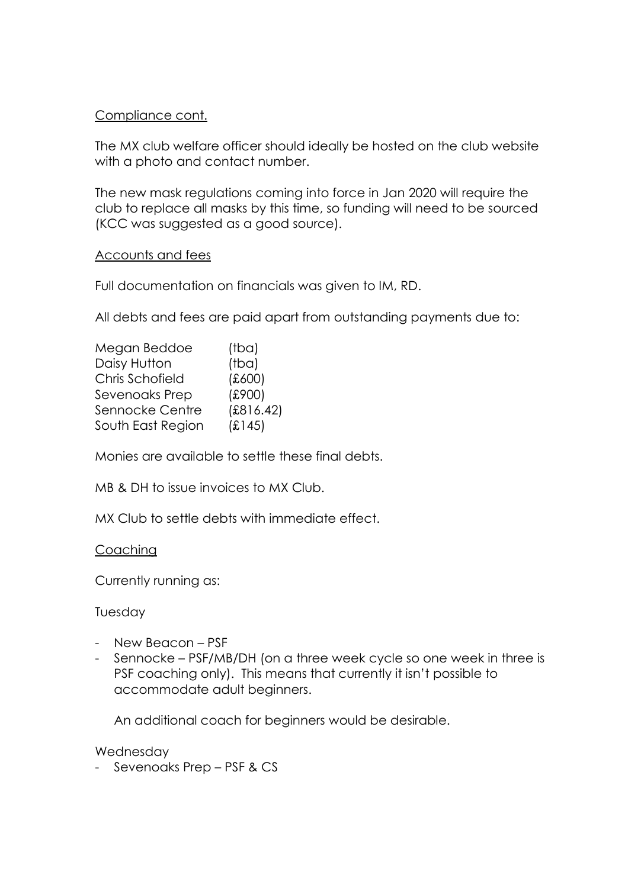# Compliance cont.

The MX club welfare officer should ideally be hosted on the club website with a photo and contact number.

The new mask regulations coming into force in Jan 2020 will require the club to replace all masks by this time, so funding will need to be sourced (KCC was suggested as a good source).

## Accounts and fees

Full documentation on financials was given to IM, RD.

All debts and fees are paid apart from outstanding payments due to:

| Megan Beddoe      | (tba)     |
|-------------------|-----------|
| Daisy Hutton      | (tba)     |
| Chris Schofield   | (600)     |
| Sevenoaks Prep    | (£900)    |
| Sennocke Centre   | (E816.42) |
| South East Region | (E145)    |
|                   |           |

Monies are available to settle these final debts.

MB & DH to issue invoices to MX Club.

MX Club to settle debts with immediate effect.

## Coaching

Currently running as:

# Tuesday

- New Beacon PSF
- Sennocke PSF/MB/DH (on a three week cycle so one week in three is PSF coaching only). This means that currently it isn't possible to accommodate adult beginners.

An additional coach for beginners would be desirable.

## Wednesday

- Sevenoaks Prep – PSF & CS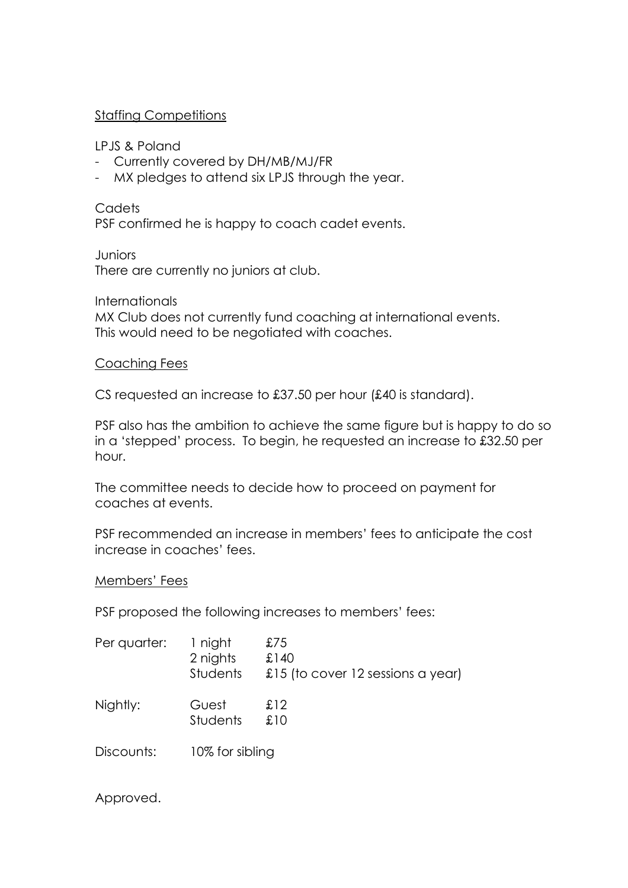# Staffing Competitions

LPJS & Poland

- Currently covered by DH/MB/MJ/FR
- MX pledges to attend six LPJS through the year.

**Cadets** PSF confirmed he is happy to coach cadet events.

**Juniors** There are currently no juniors at club.

**Internationals** MX Club does not currently fund coaching at international events. This would need to be negotiated with coaches.

## Coaching Fees

CS requested an increase to £37.50 per hour (£40 is standard).

PSF also has the ambition to achieve the same figure but is happy to do so in a 'stepped' process. To begin, he requested an increase to £32.50 per hour.

The committee needs to decide how to proceed on payment for coaches at events.

PSF recommended an increase in members' fees to anticipate the cost increase in coaches' fees.

## Members' Fees

PSF proposed the following increases to members' fees:

| Per quarter: | 1 night<br>2 nights<br>Students | £75<br>£140<br>£15 (to cover 12 sessions a year) |
|--------------|---------------------------------|--------------------------------------------------|
| Nightly:     | Guest<br>Students               | £12<br>£10                                       |
| Discounts:   | 10% for sibling                 |                                                  |

Approved.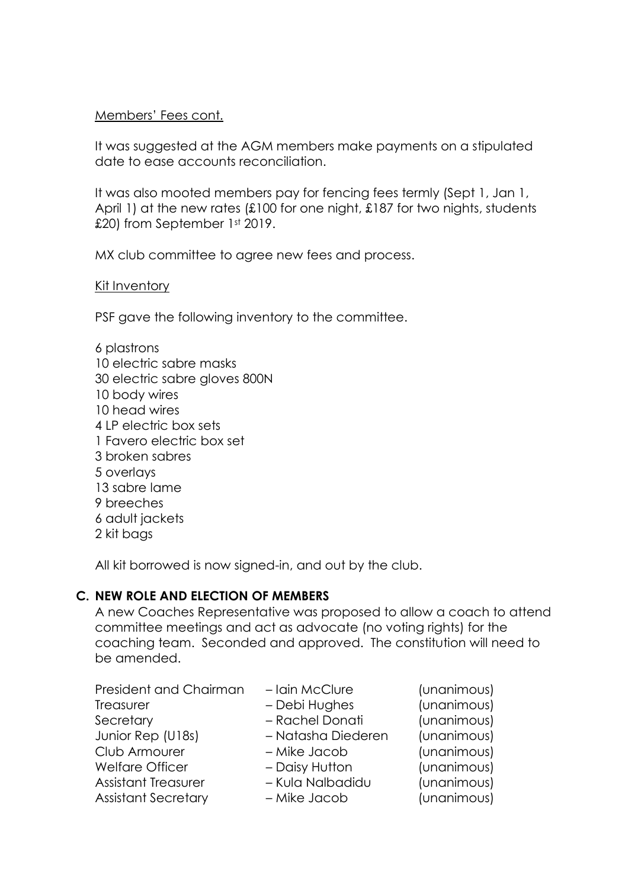# Members' Fees cont.

It was suggested at the AGM members make payments on a stipulated date to ease accounts reconciliation.

It was also mooted members pay for fencing fees termly (Sept 1, Jan 1, April 1) at the new rates (£100 for one night, £187 for two nights, students £20) from September 1st 2019.

MX club committee to agree new fees and process.

## Kit Inventory

PSF gave the following inventory to the committee.

6 plastrons 10 electric sabre masks 30 electric sabre gloves 800N 10 body wires 10 head wires 4 LP electric box sets 1 Favero electric box set 3 broken sabres 5 overlays 13 sabre lame 9 breeches 6 adult jackets 2 kit bags

All kit borrowed is now signed-in, and out by the club.

# **C. NEW ROLE AND ELECTION OF MEMBERS**

A new Coaches Representative was proposed to allow a coach to attend committee meetings and act as advocate (no voting rights) for the coaching team. Seconded and approved. The constitution will need to be amended.

| President and Chairman     | - Iain McClure     | (unanimous) |
|----------------------------|--------------------|-------------|
| Treasurer                  | - Debi Hughes      | (unanimous) |
| Secretary                  | - Rachel Donati    | (unanimous) |
| Junior Rep (U18s)          | - Natasha Diederen | (unanimous) |
| Club Armourer              | - Mike Jacob       | (unanimous) |
| <b>Welfare Officer</b>     | - Daisy Hutton     | (unanimous) |
| <b>Assistant Treasurer</b> | - Kula Nalbadidu   | (unanimous) |
| <b>Assistant Secretary</b> | - Mike Jacob       | (unanimous) |